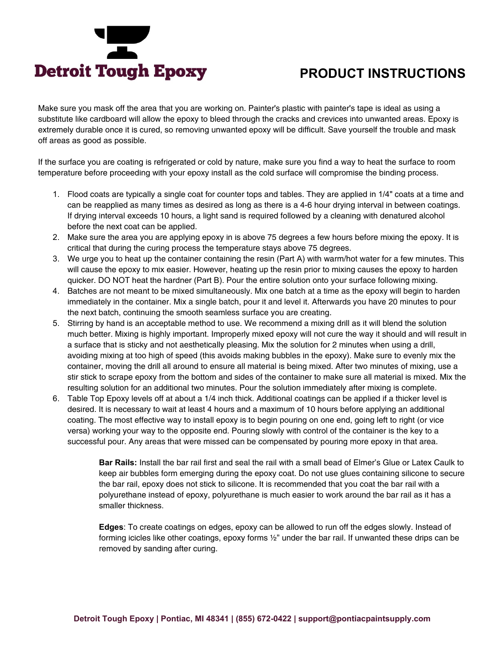

# **PRODUCT INSTRUCTIONS**

Make sure you mask off the area that you are working on. Painter's plastic with painter's tape is ideal as using a substitute like cardboard will allow the epoxy to bleed through the cracks and crevices into unwanted areas. Epoxy is extremely durable once it is cured, so removing unwanted epoxy will be difficult. Save yourself the trouble and mask off areas as good as possible.

If the surface you are coating is refrigerated or cold by nature, make sure you find a way to heat the surface to room temperature before proceeding with your epoxy install as the cold surface will compromise the binding process.

- 1. Flood coats are typically a single coat for counter tops and tables. They are applied in 1/4" coats at a time and can be reapplied as many times as desired as long as there is a 4-6 hour drying interval in between coatings. If drying interval exceeds 10 hours, a light sand is required followed by a cleaning with denatured alcohol before the next coat can be applied.
- 2. Make sure the area you are applying epoxy in is above 75 degrees a few hours before mixing the epoxy. It is critical that during the curing process the temperature stays above 75 degrees.
- 3. We urge you to heat up the container containing the resin (Part A) with warm/hot water for a few minutes. This will cause the epoxy to mix easier. However, heating up the resin prior to mixing causes the epoxy to harden quicker. DO NOT heat the hardner (Part B). Pour the entire solution onto your surface following mixing.
- 4. Batches are not meant to be mixed simultaneously. Mix one batch at a time as the epoxy will begin to harden immediately in the container. Mix a single batch, pour it and level it. Afterwards you have 20 minutes to pour the next batch, continuing the smooth seamless surface you are creating.
- 5. Stirring by hand is an acceptable method to use. We recommend a mixing drill as it will blend the solution much better. Mixing is highly important. Improperly mixed epoxy will not cure the way it should and will result in a surface that is sticky and not aesthetically pleasing. Mix the solution for 2 minutes when using a drill, avoiding mixing at too high of speed (this avoids making bubbles in the epoxy). Make sure to evenly mix the container, moving the drill all around to ensure all material is being mixed. After two minutes of mixing, use a stir stick to scrape epoxy from the bottom and sides of the container to make sure all material is mixed. Mix the resulting solution for an additional two minutes. Pour the solution immediately after mixing is complete.
- 6. Table Top Epoxy levels off at about a 1/4 inch thick. Additional coatings can be applied if a thicker level is desired. It is necessary to wait at least 4 hours and a maximum of 10 hours before applying an additional coating. The most effective way to install epoxy is to begin pouring on one end, going left to right (or vice versa) working your way to the opposite end. Pouring slowly with control of the container is the key to a successful pour. Any areas that were missed can be compensated by pouring more epoxy in that area.

**Bar Rails:** Install the bar rail first and seal the rail with a small bead of Elmer's Glue or Latex Caulk to keep air bubbles form emerging during the epoxy coat. Do not use glues containing silicone to secure the bar rail, epoxy does not stick to silicone. It is recommended that you coat the bar rail with a polyurethane instead of epoxy, polyurethane is much easier to work around the bar rail as it has a smaller thickness.

**Edges**: To create coatings on edges, epoxy can be allowed to run off the edges slowly. Instead of forming icicles like other coatings, epoxy forms ½" under the bar rail. If unwanted these drips can be removed by sanding after curing.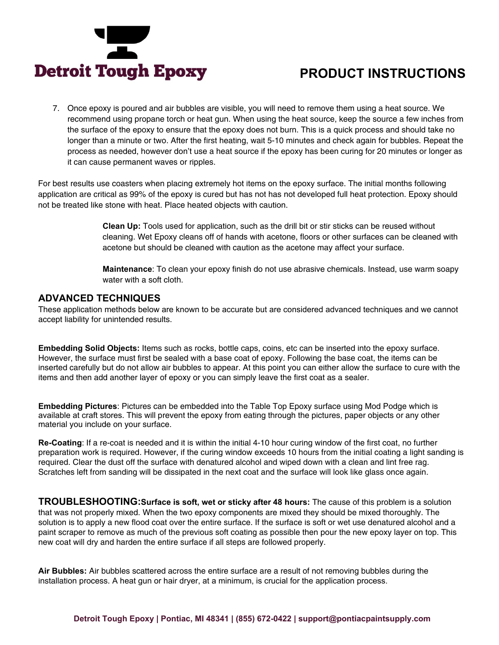

# **PRODUCT INSTRUCTIONS**

7. Once epoxy is poured and air bubbles are visible, you will need to remove them using a heat source. We recommend using propane torch or heat gun. When using the heat source, keep the source a few inches from the surface of the epoxy to ensure that the epoxy does not burn. This is a quick process and should take no longer than a minute or two. After the first heating, wait 5-10 minutes and check again for bubbles. Repeat the process as needed, however don't use a heat source if the epoxy has been curing for 20 minutes or longer as it can cause permanent waves or ripples.

For best results use coasters when placing extremely hot items on the epoxy surface. The initial months following application are critical as 99% of the epoxy is cured but has not has not developed full heat protection. Epoxy should not be treated like stone with heat. Place heated objects with caution.

> **Clean Up:** Tools used for application, such as the drill bit or stir sticks can be reused without cleaning. Wet Epoxy cleans off of hands with acetone, floors or other surfaces can be cleaned with acetone but should be cleaned with caution as the acetone may affect your surface.

> **Maintenance**: To clean your epoxy finish do not use abrasive chemicals. Instead, use warm soapy water with a soft cloth.

#### **ADVANCED TECHNIQUES**

These application methods below are known to be accurate but are considered advanced techniques and we cannot accept liability for unintended results.

**Embedding Solid Objects:** Items such as rocks, bottle caps, coins, etc can be inserted into the epoxy surface. However, the surface must first be sealed with a base coat of epoxy. Following the base coat, the items can be inserted carefully but do not allow air bubbles to appear. At this point you can either allow the surface to cure with the items and then add another layer of epoxy or you can simply leave the first coat as a sealer.

**Embedding Pictures**: Pictures can be embedded into the Table Top Epoxy surface using Mod Podge which is available at craft stores. This will prevent the epoxy from eating through the pictures, paper objects or any other material you include on your surface.

**Re-Coating**: If a re-coat is needed and it is within the initial 4-10 hour curing window of the first coat, no further preparation work is required. However, if the curing window exceeds 10 hours from the initial coating a light sanding is required. Clear the dust off the surface with denatured alcohol and wiped down with a clean and lint free rag. Scratches left from sanding will be dissipated in the next coat and the surface will look like glass once again.

**TROUBLESHOOTING:Surface is soft, wet or sticky after 48 hours:** The cause of this problem is a solution that was not properly mixed. When the two epoxy components are mixed they should be mixed thoroughly. The solution is to apply a new flood coat over the entire surface. If the surface is soft or wet use denatured alcohol and a paint scraper to remove as much of the previous soft coating as possible then pour the new epoxy layer on top. This new coat will dry and harden the entire surface if all steps are followed properly.

**Air Bubbles:** Air bubbles scattered across the entire surface are a result of not removing bubbles during the installation process. A heat gun or hair dryer, at a minimum, is crucial for the application process.